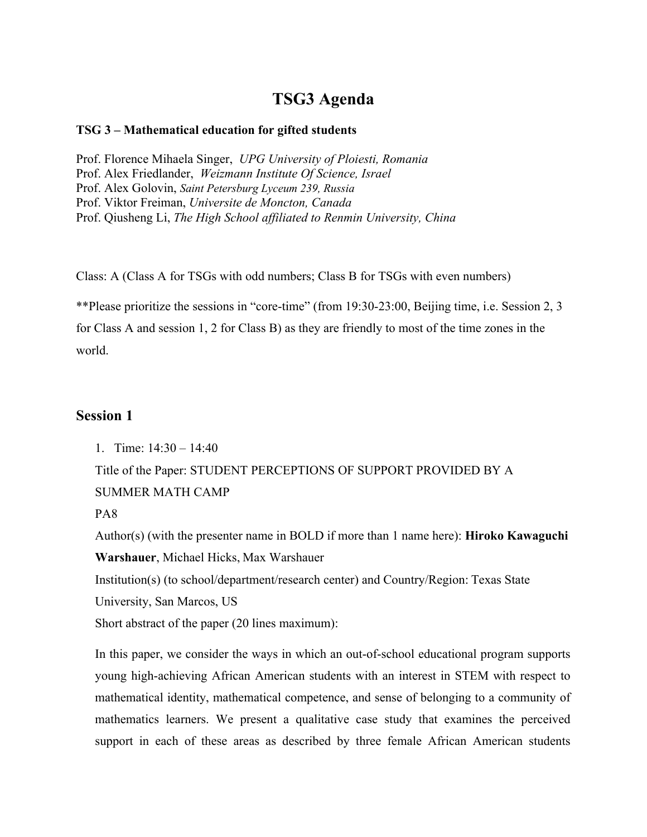## **TSG3 Agenda**

#### **TSG 3 – Mathematical education for gifted students**

Prof. Florence Mihaela Singer, *UPG University of Ploiesti, Romania* Prof. Alex Friedlander, *Weizmann Institute Of Science, Israel* Prof. Alex Golovin, *Saint Petersburg Lyceum 239, Russia* Prof. Viktor Freiman, *Universite de Moncton, Canada* Prof. Qiusheng Li, *The High School affiliated to Renmin University, China*

Class: A (Class A for TSGs with odd numbers; Class B for TSGs with even numbers)

\*\*Please prioritize the sessions in "core-time" (from 19:30-23:00, Beijing time, i.e. Session 2, 3 for Class A and session 1, 2 for Class B) as they are friendly to most of the time zones in the world.

## **Session 1**

1. Time: 14:30 – 14:40

Title of the Paper: STUDENT PERCEPTIONS OF SUPPORT PROVIDED BY A SUMMER MATH CAMP

PA8

Author(s) (with the presenter name in BOLD if more than 1 name here): **Hiroko Kawaguchi Warshauer**, Michael Hicks, Max Warshauer

Institution(s) (to school/department/research center) and Country/Region: Texas State

University, San Marcos, US

Short abstract of the paper (20 lines maximum):

In this paper, we consider the ways in which an out-of-school educational program supports young high-achieving African American students with an interest in STEM with respect to mathematical identity, mathematical competence, and sense of belonging to a community of mathematics learners. We present a qualitative case study that examines the perceived support in each of these areas as described by three female African American students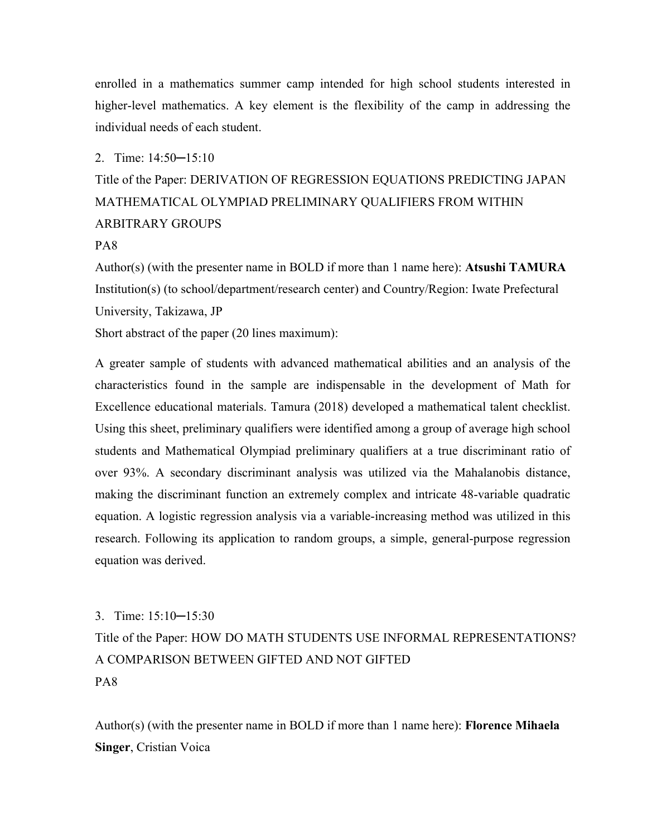enrolled in a mathematics summer camp intended for high school students interested in higher-level mathematics. A key element is the flexibility of the camp in addressing the individual needs of each student.

#### 2. Time: 14:50─15:10

# Title of the Paper: DERIVATION OF REGRESSION EQUATIONS PREDICTING JAPAN MATHEMATICAL OLYMPIAD PRELIMINARY QUALIFIERS FROM WITHIN ARBITRARY GROUPS

#### PA8

Author(s) (with the presenter name in BOLD if more than 1 name here): **Atsushi TAMURA** Institution(s) (to school/department/research center) and Country/Region: Iwate Prefectural University, Takizawa, JP Short abstract of the paper (20 lines maximum):

A greater sample of students with advanced mathematical abilities and an analysis of the characteristics found in the sample are indispensable in the development of Math for Excellence educational materials. Tamura (2018) developed a mathematical talent checklist. Using this sheet, preliminary qualifiers were identified among a group of average high school students and Mathematical Olympiad preliminary qualifiers at a true discriminant ratio of over 93%. A secondary discriminant analysis was utilized via the Mahalanobis distance, making the discriminant function an extremely complex and intricate 48-variable quadratic equation. A logistic regression analysis via a variable-increasing method was utilized in this research. Following its application to random groups, a simple, general-purpose regression equation was derived.

#### 3. Time: 15:10─15:30

Title of the Paper: HOW DO MATH STUDENTS USE INFORMAL REPRESENTATIONS? A COMPARISON BETWEEN GIFTED AND NOT GIFTED PA8

Author(s) (with the presenter name in BOLD if more than 1 name here): **Florence Mihaela Singer**, Cristian Voica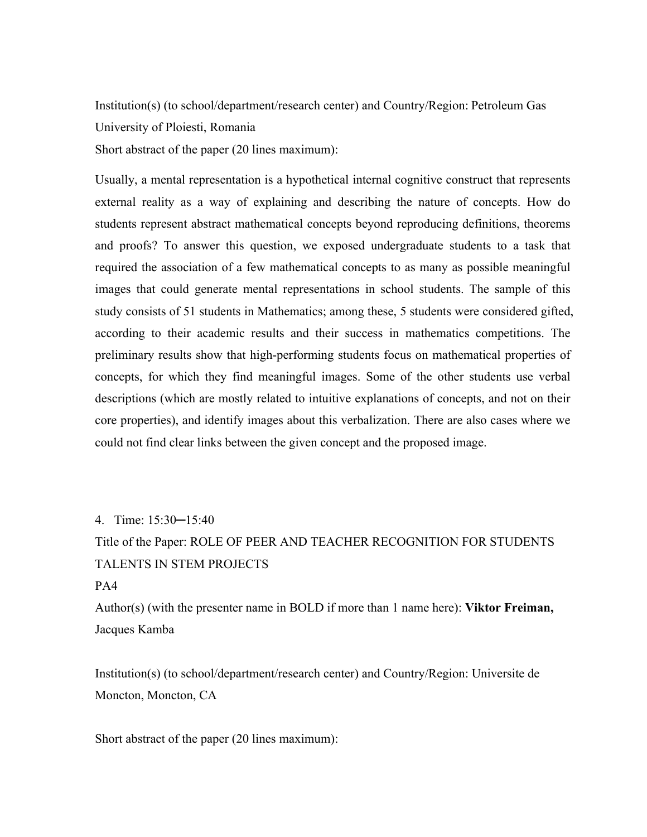Institution(s) (to school/department/research center) and Country/Region: Petroleum Gas University of Ploiesti, Romania

Short abstract of the paper (20 lines maximum):

Usually, a mental representation is a hypothetical internal cognitive construct that represents external reality as a way of explaining and describing the nature of concepts. How do students represent abstract mathematical concepts beyond reproducing definitions, theorems and proofs? To answer this question, we exposed undergraduate students to a task that required the association of a few mathematical concepts to as many as possible meaningful images that could generate mental representations in school students. The sample of this study consists of 51 students in Mathematics; among these, 5 students were considered gifted, according to their academic results and their success in mathematics competitions. The preliminary results show that high-performing students focus on mathematical properties of concepts, for which they find meaningful images. Some of the other students use verbal descriptions (which are mostly related to intuitive explanations of concepts, and not on their core properties), and identify images about this verbalization. There are also cases where we could not find clear links between the given concept and the proposed image.

4. Time: 15:30─15:40 Title of the Paper: ROLE OF PEER AND TEACHER RECOGNITION FOR STUDENTS TALENTS IN STEM PROJECTS

#### PA4

Author(s) (with the presenter name in BOLD if more than 1 name here): **Viktor Freiman,**  Jacques Kamba

Institution(s) (to school/department/research center) and Country/Region: Universite de Moncton, Moncton, CA

Short abstract of the paper (20 lines maximum):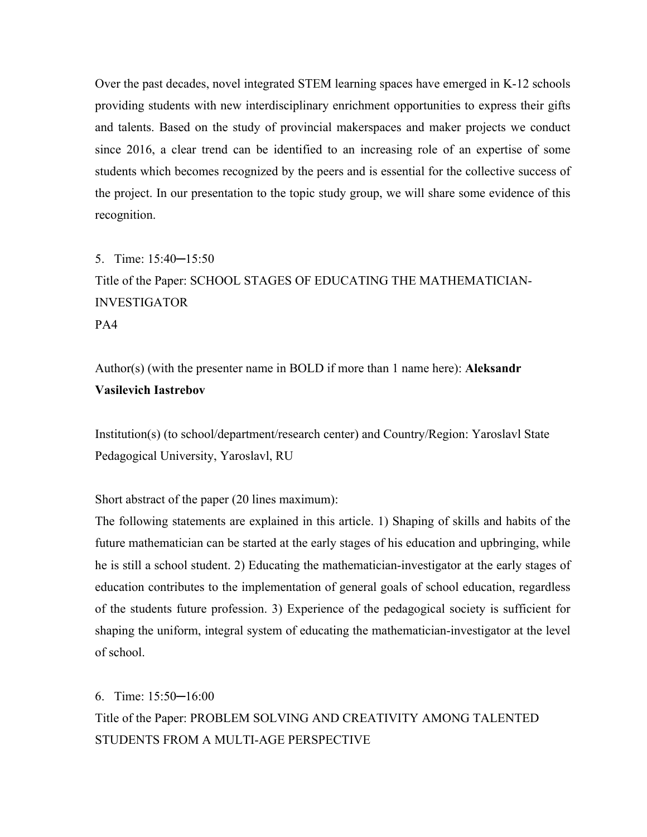Over the past decades, novel integrated STEM learning spaces have emerged in K-12 schools providing students with new interdisciplinary enrichment opportunities to express their gifts and talents. Based on the study of provincial makerspaces and maker projects we conduct since 2016, a clear trend can be identified to an increasing role of an expertise of some students which becomes recognized by the peers and is essential for the collective success of the project. In our presentation to the topic study group, we will share some evidence of this recognition.

# 5. Time: 15:40─15:50 Title of the Paper: SCHOOL STAGES OF EDUCATING THE MATHEMATICIAN-INVESTIGATOR PA4

Author(s) (with the presenter name in BOLD if more than 1 name here): **Aleksandr Vasilevich Iastrebov**

Institution(s) (to school/department/research center) and Country/Region: Yaroslavl State Pedagogical University, Yaroslavl, RU

Short abstract of the paper (20 lines maximum):

The following statements are explained in this article. 1) Shaping of skills and habits of the future mathematician can be started at the early stages of his education and upbringing, while he is still a school student. 2) Educating the mathematician-investigator at the early stages of education contributes to the implementation of general goals of school education, regardless of the students future profession. 3) Experience of the pedagogical society is sufficient for shaping the uniform, integral system of educating the mathematician-investigator at the level of school.

6. Time: 15:50─16:00 Title of the Paper: PROBLEM SOLVING AND CREATIVITY AMONG TALENTED STUDENTS FROM A MULTI-AGE PERSPECTIVE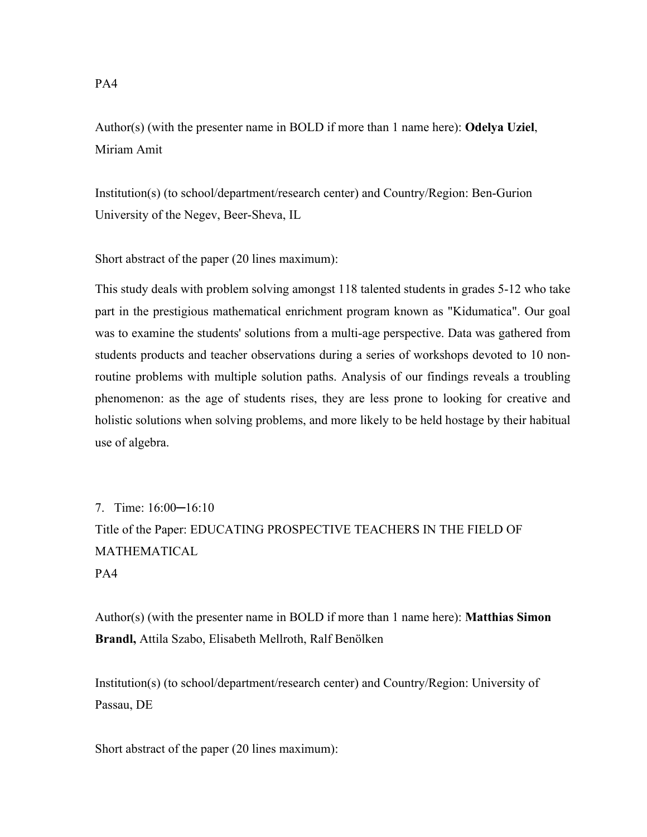Author(s) (with the presenter name in BOLD if more than 1 name here): **Odelya Uziel**, Miriam Amit

Institution(s) (to school/department/research center) and Country/Region: Ben-Gurion University of the Negev, Beer-Sheva, IL

Short abstract of the paper (20 lines maximum):

This study deals with problem solving amongst 118 talented students in grades 5-12 who take part in the prestigious mathematical enrichment program known as "Kidumatica". Our goal was to examine the students' solutions from a multi-age perspective. Data was gathered from students products and teacher observations during a series of workshops devoted to 10 nonroutine problems with multiple solution paths. Analysis of our findings reveals a troubling phenomenon: as the age of students rises, they are less prone to looking for creative and holistic solutions when solving problems, and more likely to be held hostage by their habitual use of algebra.

7. Time: 16:00─16:10 Title of the Paper: EDUCATING PROSPECTIVE TEACHERS IN THE FIELD OF MATHEMATICAL PA4

Author(s) (with the presenter name in BOLD if more than 1 name here): **Matthias Simon Brandl,** Attila Szabo, Elisabeth Mellroth, Ralf Benölken

Institution(s) (to school/department/research center) and Country/Region: University of Passau, DE

Short abstract of the paper (20 lines maximum):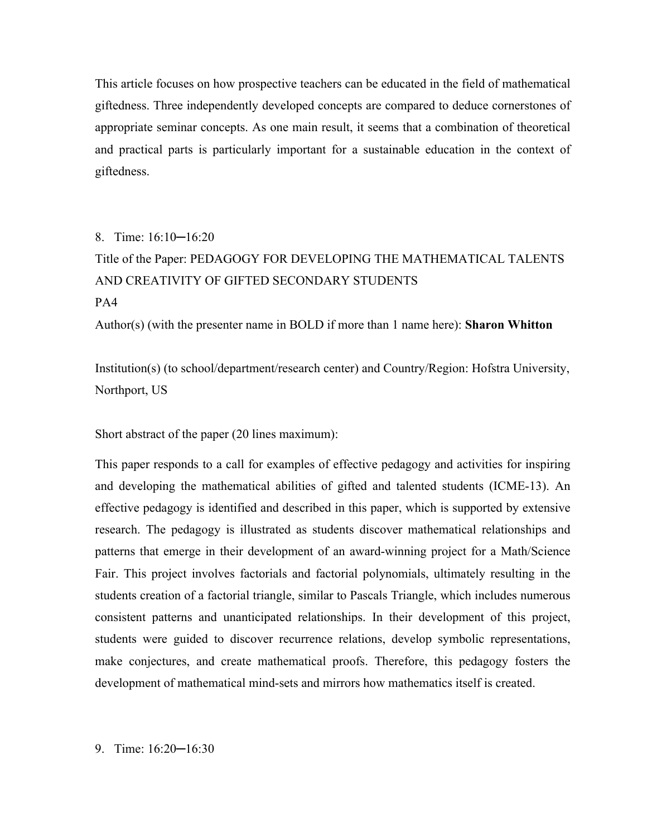This article focuses on how prospective teachers can be educated in the field of mathematical giftedness. Three independently developed concepts are compared to deduce cornerstones of appropriate seminar concepts. As one main result, it seems that a combination of theoretical and practical parts is particularly important for a sustainable education in the context of giftedness.

# 8. Time: 16:10─16:20 Title of the Paper: PEDAGOGY FOR DEVELOPING THE MATHEMATICAL TALENTS AND CREATIVITY OF GIFTED SECONDARY STUDENTS PA4 Author(s) (with the presenter name in BOLD if more than 1 name here): **Sharon Whitton**

Institution(s) (to school/department/research center) and Country/Region: Hofstra University, Northport, US

Short abstract of the paper (20 lines maximum):

This paper responds to a call for examples of effective pedagogy and activities for inspiring and developing the mathematical abilities of gifted and talented students (ICME-13). An effective pedagogy is identified and described in this paper, which is supported by extensive research. The pedagogy is illustrated as students discover mathematical relationships and patterns that emerge in their development of an award-winning project for a Math/Science Fair. This project involves factorials and factorial polynomials, ultimately resulting in the students creation of a factorial triangle, similar to Pascals Triangle, which includes numerous consistent patterns and unanticipated relationships. In their development of this project, students were guided to discover recurrence relations, develop symbolic representations, make conjectures, and create mathematical proofs. Therefore, this pedagogy fosters the development of mathematical mind-sets and mirrors how mathematics itself is created.

9. Time: 16:20─16:30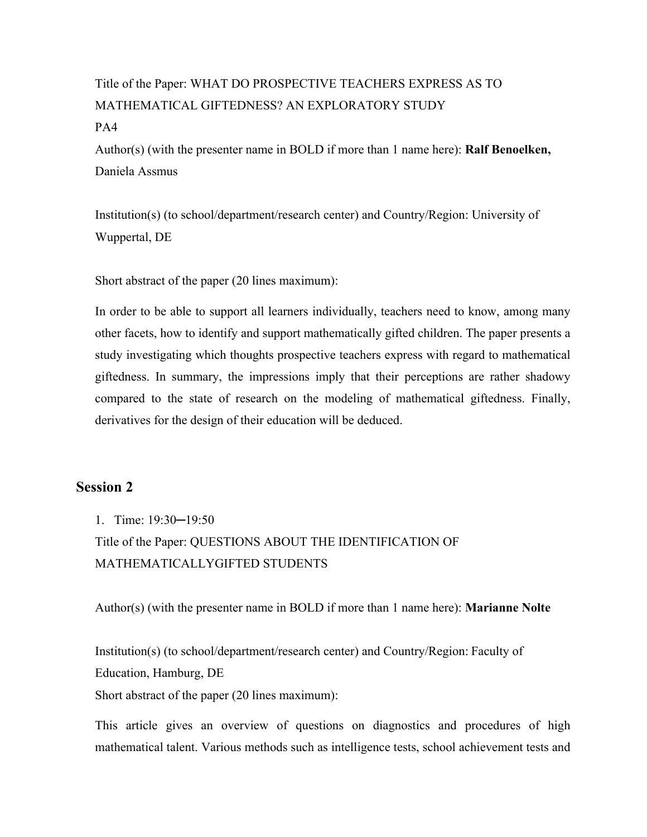# Title of the Paper: WHAT DO PROSPECTIVE TEACHERS EXPRESS AS TO MATHEMATICAL GIFTEDNESS? AN EXPLORATORY STUDY PA4

Author(s) (with the presenter name in BOLD if more than 1 name here): **Ralf Benoelken,**  Daniela Assmus

Institution(s) (to school/department/research center) and Country/Region: University of Wuppertal, DE

Short abstract of the paper (20 lines maximum):

In order to be able to support all learners individually, teachers need to know, among many other facets, how to identify and support mathematically gifted children. The paper presents a study investigating which thoughts prospective teachers express with regard to mathematical giftedness. In summary, the impressions imply that their perceptions are rather shadowy compared to the state of research on the modeling of mathematical giftedness. Finally, derivatives for the design of their education will be deduced.

## **Session 2**

1. Time: 19:30─19:50

Title of the Paper: QUESTIONS ABOUT THE IDENTIFICATION OF MATHEMATICALLYGIFTED STUDENTS

Author(s) (with the presenter name in BOLD if more than 1 name here): **Marianne Nolte**

Institution(s) (to school/department/research center) and Country/Region: Faculty of Education, Hamburg, DE

Short abstract of the paper (20 lines maximum):

This article gives an overview of questions on diagnostics and procedures of high mathematical talent. Various methods such as intelligence tests, school achievement tests and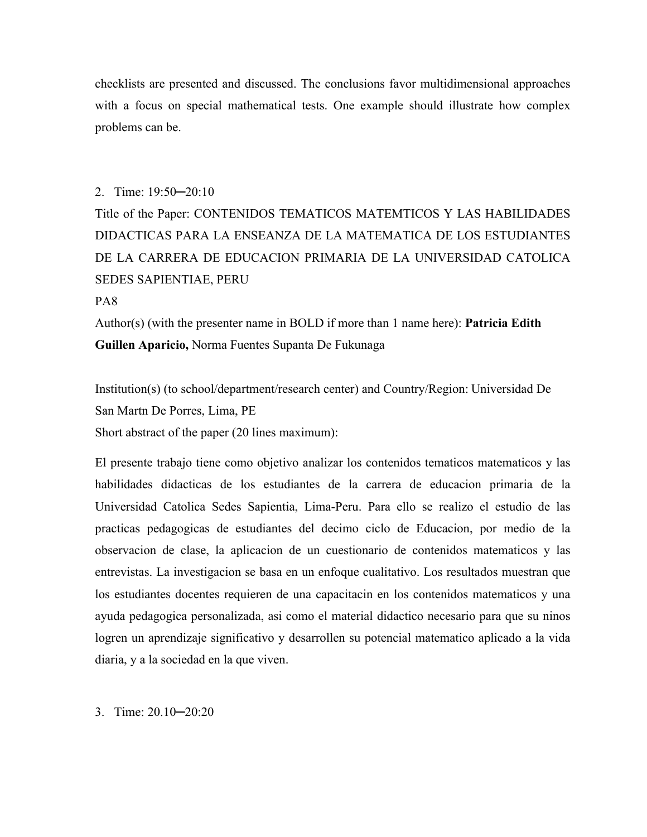checklists are presented and discussed. The conclusions favor multidimensional approaches with a focus on special mathematical tests. One example should illustrate how complex problems can be.

#### 2. Time: 19:50─20:10

Title of the Paper: CONTENIDOS TEMATICOS MATEMTICOS Y LAS HABILIDADES DIDACTICAS PARA LA ENSEANZA DE LA MATEMATICA DE LOS ESTUDIANTES DE LA CARRERA DE EDUCACION PRIMARIA DE LA UNIVERSIDAD CATOLICA SEDES SAPIENTIAE, PERU

#### PA8

Author(s) (with the presenter name in BOLD if more than 1 name here): **Patricia Edith Guillen Aparicio,** Norma Fuentes Supanta De Fukunaga

Institution(s) (to school/department/research center) and Country/Region: Universidad De San Martn De Porres, Lima, PE

Short abstract of the paper (20 lines maximum):

El presente trabajo tiene como objetivo analizar los contenidos tematicos matematicos y las habilidades didacticas de los estudiantes de la carrera de educacion primaria de la Universidad Catolica Sedes Sapientia, Lima-Peru. Para ello se realizo el estudio de las practicas pedagogicas de estudiantes del decimo ciclo de Educacion, por medio de la observacion de clase, la aplicacion de un cuestionario de contenidos matematicos y las entrevistas. La investigacion se basa en un enfoque cualitativo. Los resultados muestran que los estudiantes docentes requieren de una capacitacin en los contenidos matematicos y una ayuda pedagogica personalizada, asi como el material didactico necesario para que su ninos logren un aprendizaje significativo y desarrollen su potencial matematico aplicado a la vida diaria, y a la sociedad en la que viven.

3. Time: 20.10─20:20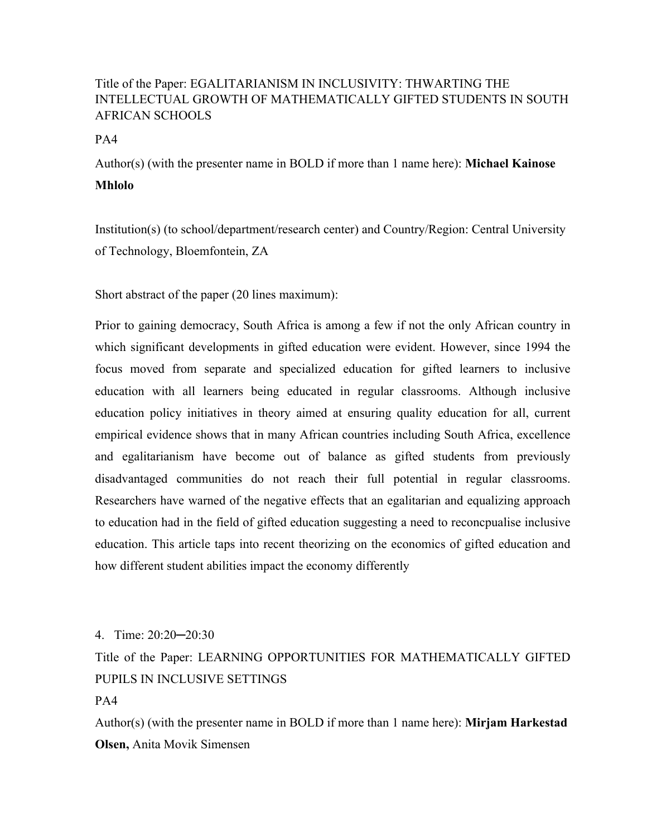## Title of the Paper: EGALITARIANISM IN INCLUSIVITY: THWARTING THE INTELLECTUAL GROWTH OF MATHEMATICALLY GIFTED STUDENTS IN SOUTH AFRICAN SCHOOLS

PA4

Author(s) (with the presenter name in BOLD if more than 1 name here): **Michael Kainose Mhlolo**

Institution(s) (to school/department/research center) and Country/Region: Central University of Technology, Bloemfontein, ZA

Short abstract of the paper (20 lines maximum):

Prior to gaining democracy, South Africa is among a few if not the only African country in which significant developments in gifted education were evident. However, since 1994 the focus moved from separate and specialized education for gifted learners to inclusive education with all learners being educated in regular classrooms. Although inclusive education policy initiatives in theory aimed at ensuring quality education for all, current empirical evidence shows that in many African countries including South Africa, excellence and egalitarianism have become out of balance as gifted students from previously disadvantaged communities do not reach their full potential in regular classrooms. Researchers have warned of the negative effects that an egalitarian and equalizing approach to education had in the field of gifted education suggesting a need to reconcpualise inclusive education. This article taps into recent theorizing on the economics of gifted education and how different student abilities impact the economy differently

4. Time: 20:20─20:30

Title of the Paper: LEARNING OPPORTUNITIES FOR MATHEMATICALLY GIFTED PUPILS IN INCLUSIVE SETTINGS

PA4

Author(s) (with the presenter name in BOLD if more than 1 name here): **Mirjam Harkestad Olsen,** Anita Movik Simensen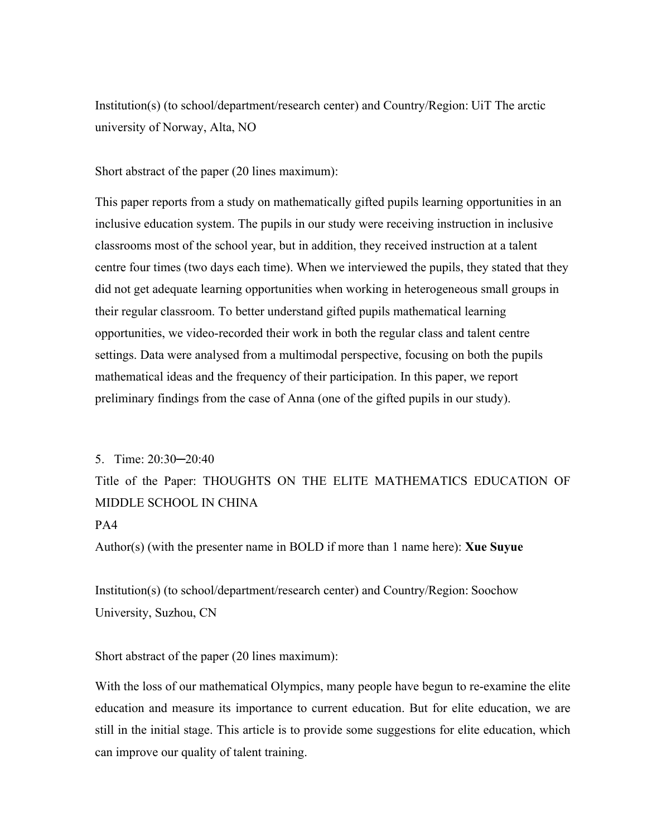Institution(s) (to school/department/research center) and Country/Region: UiT The arctic university of Norway, Alta, NO

Short abstract of the paper (20 lines maximum):

This paper reports from a study on mathematically gifted pupils learning opportunities in an inclusive education system. The pupils in our study were receiving instruction in inclusive classrooms most of the school year, but in addition, they received instruction at a talent centre four times (two days each time). When we interviewed the pupils, they stated that they did not get adequate learning opportunities when working in heterogeneous small groups in their regular classroom. To better understand gifted pupils mathematical learning opportunities, we video-recorded their work in both the regular class and talent centre settings. Data were analysed from a multimodal perspective, focusing on both the pupils mathematical ideas and the frequency of their participation. In this paper, we report preliminary findings from the case of Anna (one of the gifted pupils in our study).

#### 5. Time: 20:30─20:40

Title of the Paper: THOUGHTS ON THE ELITE MATHEMATICS EDUCATION OF MIDDLE SCHOOL IN CHINA

### PA4

Author(s) (with the presenter name in BOLD if more than 1 name here): **Xue Suyue** 

Institution(s) (to school/department/research center) and Country/Region: Soochow University, Suzhou, CN

Short abstract of the paper (20 lines maximum):

With the loss of our mathematical Olympics, many people have begun to re-examine the elite education and measure its importance to current education. But for elite education, we are still in the initial stage. This article is to provide some suggestions for elite education, which can improve our quality of talent training.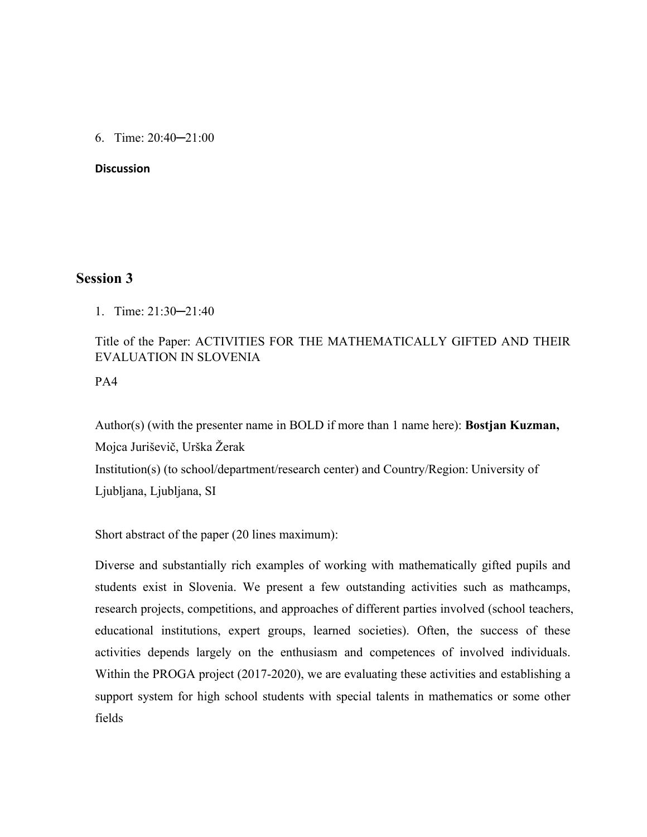6. Time: 20:40─21:00

#### **Discussion**

## **Session 3**

1. Time: 21:30─21:40

## Title of the Paper: ACTIVITIES FOR THE MATHEMATICALLY GIFTED AND THEIR EVALUATION IN SLOVENIA

PA4

Author(s) (with the presenter name in BOLD if more than 1 name here): **Bostjan Kuzman,**  Mojca Juriševič, Urška Žerak Institution(s) (to school/department/research center) and Country/Region: University of Ljubljana, Ljubljana, SI

Short abstract of the paper (20 lines maximum):

Diverse and substantially rich examples of working with mathematically gifted pupils and students exist in Slovenia. We present a few outstanding activities such as mathcamps, research projects, competitions, and approaches of different parties involved (school teachers, educational institutions, expert groups, learned societies). Often, the success of these activities depends largely on the enthusiasm and competences of involved individuals. Within the PROGA project (2017-2020), we are evaluating these activities and establishing a support system for high school students with special talents in mathematics or some other fields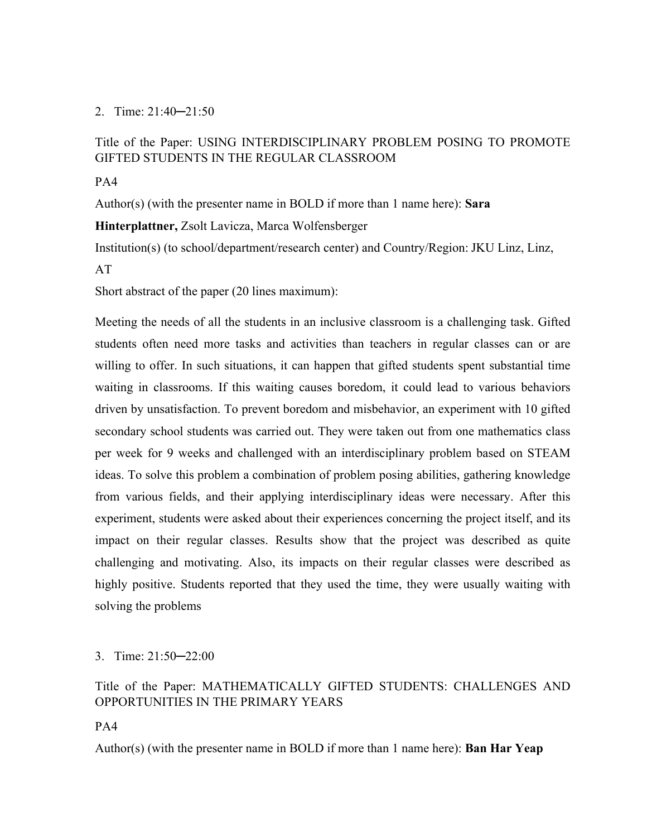### 2. Time: 21:40─21:50

## Title of the Paper: USING INTERDISCIPLINARY PROBLEM POSING TO PROMOTE GIFTED STUDENTS IN THE REGULAR CLASSROOM

### PA4

Author(s) (with the presenter name in BOLD if more than 1 name here): **Sara** 

**Hinterplattner,** Zsolt Lavicza, Marca Wolfensberger

Institution(s) (to school/department/research center) and Country/Region: JKU Linz, Linz,

### AT

Short abstract of the paper (20 lines maximum):

Meeting the needs of all the students in an inclusive classroom is a challenging task. Gifted students often need more tasks and activities than teachers in regular classes can or are willing to offer. In such situations, it can happen that gifted students spent substantial time waiting in classrooms. If this waiting causes boredom, it could lead to various behaviors driven by unsatisfaction. To prevent boredom and misbehavior, an experiment with 10 gifted secondary school students was carried out. They were taken out from one mathematics class per week for 9 weeks and challenged with an interdisciplinary problem based on STEAM ideas. To solve this problem a combination of problem posing abilities, gathering knowledge from various fields, and their applying interdisciplinary ideas were necessary. After this experiment, students were asked about their experiences concerning the project itself, and its impact on their regular classes. Results show that the project was described as quite challenging and motivating. Also, its impacts on their regular classes were described as highly positive. Students reported that they used the time, they were usually waiting with solving the problems

## 3. Time: 21:50─22:00

## Title of the Paper: MATHEMATICALLY GIFTED STUDENTS: CHALLENGES AND OPPORTUNITIES IN THE PRIMARY YEARS

PA4

Author(s) (with the presenter name in BOLD if more than 1 name here): **Ban Har Yeap**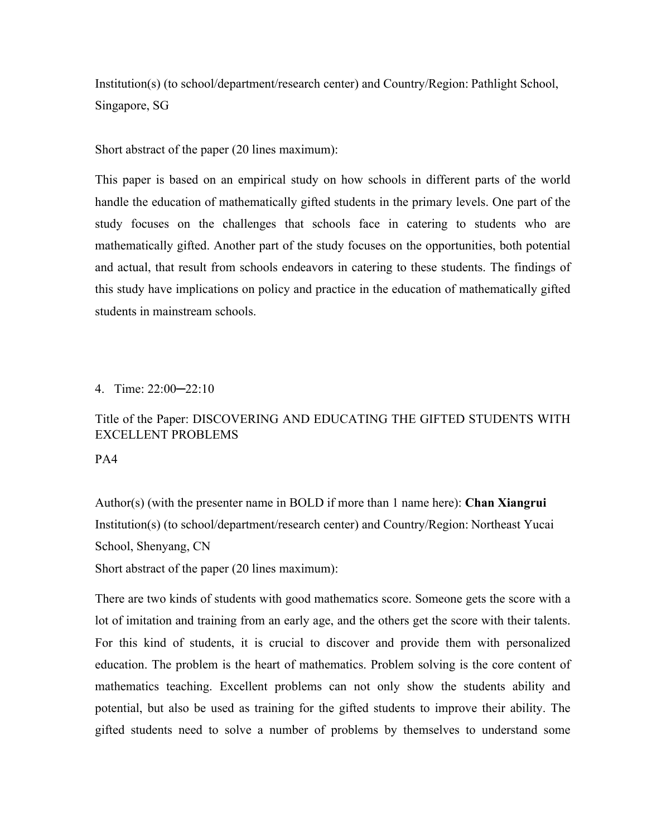Institution(s) (to school/department/research center) and Country/Region: Pathlight School, Singapore, SG

Short abstract of the paper (20 lines maximum):

This paper is based on an empirical study on how schools in different parts of the world handle the education of mathematically gifted students in the primary levels. One part of the study focuses on the challenges that schools face in catering to students who are mathematically gifted. Another part of the study focuses on the opportunities, both potential and actual, that result from schools endeavors in catering to these students. The findings of this study have implications on policy and practice in the education of mathematically gifted students in mainstream schools.

4. Time: 22:00─22:10

## Title of the Paper: DISCOVERING AND EDUCATING THE GIFTED STUDENTS WITH EXCELLENT PROBLEMS

PA4

Author(s) (with the presenter name in BOLD if more than 1 name here): **Chan Xiangrui** Institution(s) (to school/department/research center) and Country/Region: Northeast Yucai School, Shenyang, CN

Short abstract of the paper (20 lines maximum):

There are two kinds of students with good mathematics score. Someone gets the score with a lot of imitation and training from an early age, and the others get the score with their talents. For this kind of students, it is crucial to discover and provide them with personalized education. The problem is the heart of mathematics. Problem solving is the core content of mathematics teaching. Excellent problems can not only show the students ability and potential, but also be used as training for the gifted students to improve their ability. The gifted students need to solve a number of problems by themselves to understand some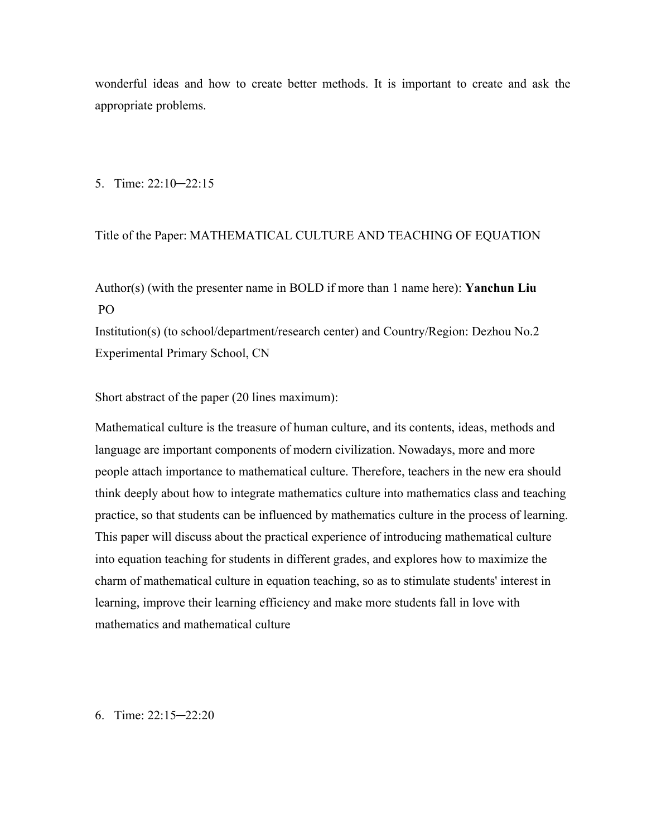wonderful ideas and how to create better methods. It is important to create and ask the appropriate problems.

5. Time: 22:10─22:15

Title of the Paper: MATHEMATICAL CULTURE AND TEACHING OF EQUATION

Author(s) (with the presenter name in BOLD if more than 1 name here): **Yanchun Liu** PO

Institution(s) (to school/department/research center) and Country/Region: Dezhou No.2 Experimental Primary School, CN

Short abstract of the paper (20 lines maximum):

Mathematical culture is the treasure of human culture, and its contents, ideas, methods and language are important components of modern civilization. Nowadays, more and more people attach importance to mathematical culture. Therefore, teachers in the new era should think deeply about how to integrate mathematics culture into mathematics class and teaching practice, so that students can be influenced by mathematics culture in the process of learning. This paper will discuss about the practical experience of introducing mathematical culture into equation teaching for students in different grades, and explores how to maximize the charm of mathematical culture in equation teaching, so as to stimulate students' interest in learning, improve their learning efficiency and make more students fall in love with mathematics and mathematical culture

6. Time: 22:15─22:20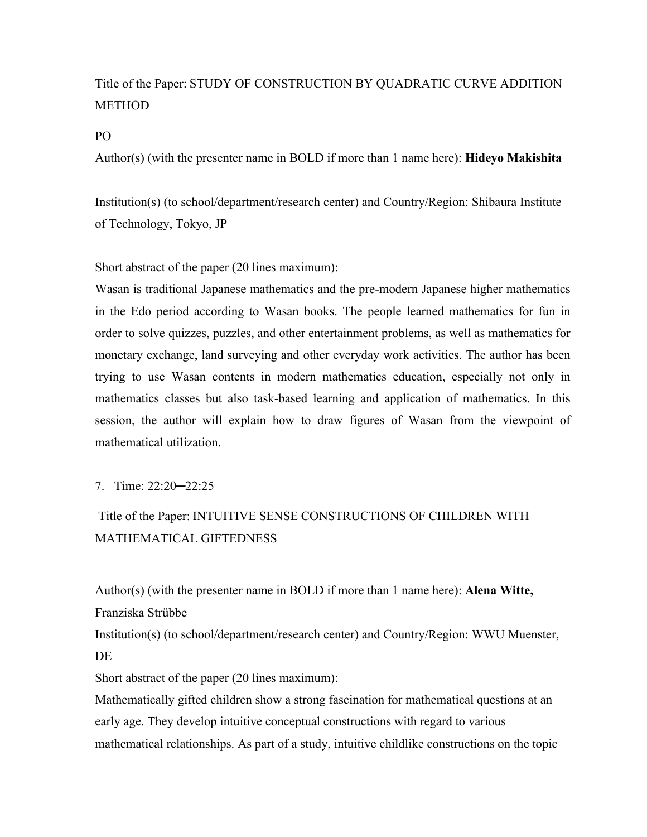## Title of the Paper: STUDY OF CONSTRUCTION BY QUADRATIC CURVE ADDITION METHOD

PO

Author(s) (with the presenter name in BOLD if more than 1 name here): **Hideyo Makishita**

Institution(s) (to school/department/research center) and Country/Region: Shibaura Institute of Technology, Tokyo, JP

Short abstract of the paper (20 lines maximum):

Wasan is traditional Japanese mathematics and the pre-modern Japanese higher mathematics in the Edo period according to Wasan books. The people learned mathematics for fun in order to solve quizzes, puzzles, and other entertainment problems, as well as mathematics for monetary exchange, land surveying and other everyday work activities. The author has been trying to use Wasan contents in modern mathematics education, especially not only in mathematics classes but also task-based learning and application of mathematics. In this session, the author will explain how to draw figures of Wasan from the viewpoint of mathematical utilization.

7. Time: 22:20─22:25

## Title of the Paper: INTUITIVE SENSE CONSTRUCTIONS OF CHILDREN WITH MATHEMATICAL GIFTEDNESS

Author(s) (with the presenter name in BOLD if more than 1 name here): **Alena Witte,**  Franziska Strübbe

Institution(s) (to school/department/research center) and Country/Region: WWU Muenster, DE

Short abstract of the paper (20 lines maximum):

Mathematically gifted children show a strong fascination for mathematical questions at an early age. They develop intuitive conceptual constructions with regard to various mathematical relationships. As part of a study, intuitive childlike constructions on the topic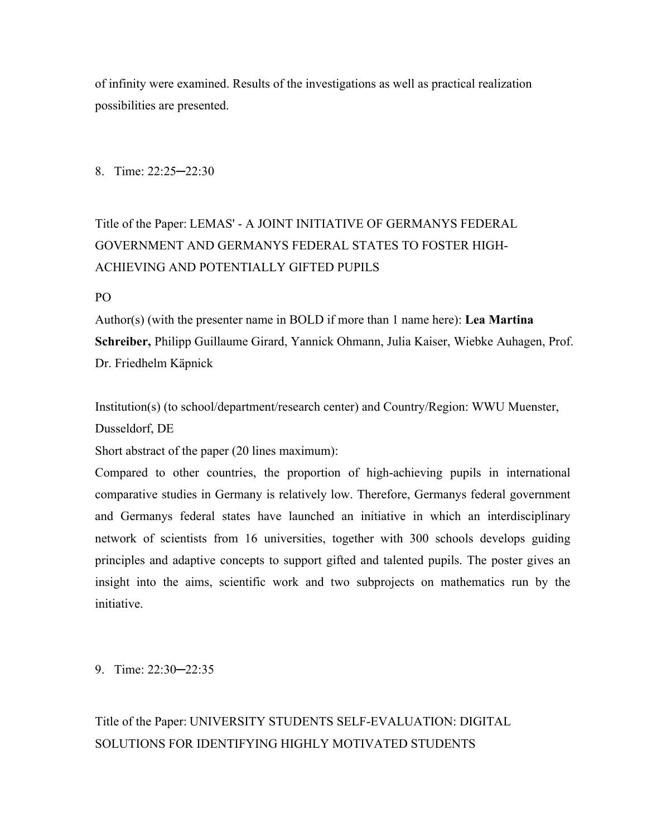of infinity were examined. Results of the investigations as well as practical realization possibilities are presented.

8. Time: 22:25─22:30

# Title of the Paper: LEMAS' - A JOINT INITIATIVE OF GERMANYS FEDERAL GOVERNMENT AND GERMANYS FEDERAL STATES TO FOSTER HIGH-ACHIEVING AND POTENTIALLY GIFTED PUPILS

#### PO

Author(s) (with the presenter name in BOLD if more than 1 name here): **Lea Martina Schreiber,** Philipp Guillaume Girard, Yannick Ohmann, Julia Kaiser, Wiebke Auhagen, Prof. Dr. Friedhelm Käpnick

Institution(s) (to school/department/research center) and Country/Region: WWU Muenster, Dusseldorf, DE

Short abstract of the paper (20 lines maximum):

Compared to other countries, the proportion of high-achieving pupils in international comparative studies in Germany is relatively low. Therefore, Germanys federal government and Germanys federal states have launched an initiative in which an interdisciplinary network of scientists from 16 universities, together with 300 schools develops guiding principles and adaptive concepts to support gifted and talented pupils. The poster gives an insight into the aims, scientific work and two subprojects on mathematics run by the initiative.

9. Time: 22:30─22:35

## Title of the Paper: UNIVERSITY STUDENTS SELF-EVALUATION: DIGITAL SOLUTIONS FOR IDENTIFYING HIGHLY MOTIVATED STUDENTS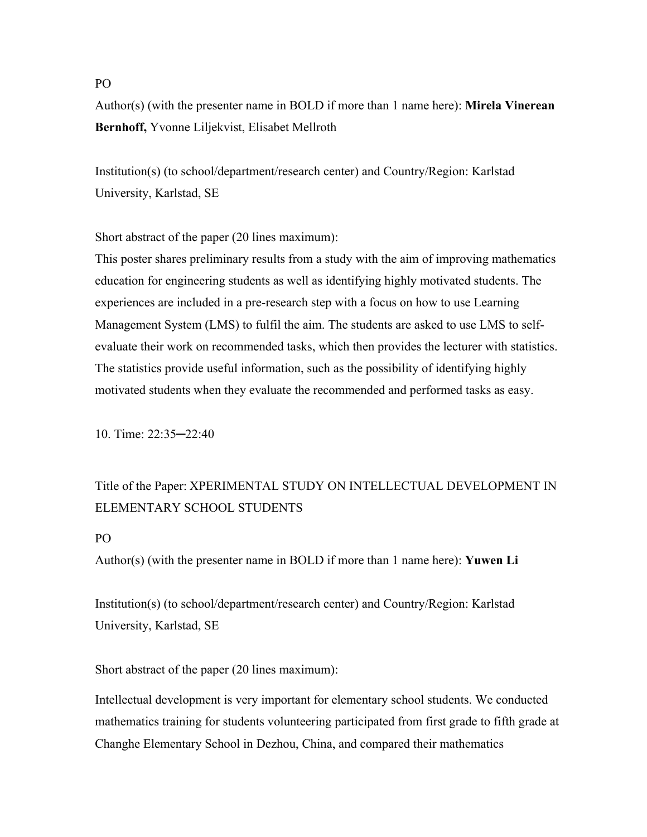#### PO

Author(s) (with the presenter name in BOLD if more than 1 name here): **Mirela Vinerean Bernhoff,** Yvonne Liljekvist, Elisabet Mellroth

Institution(s) (to school/department/research center) and Country/Region: Karlstad University, Karlstad, SE

Short abstract of the paper (20 lines maximum):

This poster shares preliminary results from a study with the aim of improving mathematics education for engineering students as well as identifying highly motivated students. The experiences are included in a pre-research step with a focus on how to use Learning Management System (LMS) to fulfil the aim. The students are asked to use LMS to selfevaluate their work on recommended tasks, which then provides the lecturer with statistics. The statistics provide useful information, such as the possibility of identifying highly motivated students when they evaluate the recommended and performed tasks as easy.

10. Time: 22:35─22:40

## Title of the Paper: XPERIMENTAL STUDY ON INTELLECTUAL DEVELOPMENT IN ELEMENTARY SCHOOL STUDENTS

#### PO

Author(s) (with the presenter name in BOLD if more than 1 name here): **Yuwen Li**

Institution(s) (to school/department/research center) and Country/Region: Karlstad University, Karlstad, SE

Short abstract of the paper (20 lines maximum):

Intellectual development is very important for elementary school students. We conducted mathematics training for students volunteering participated from first grade to fifth grade at Changhe Elementary School in Dezhou, China, and compared their mathematics